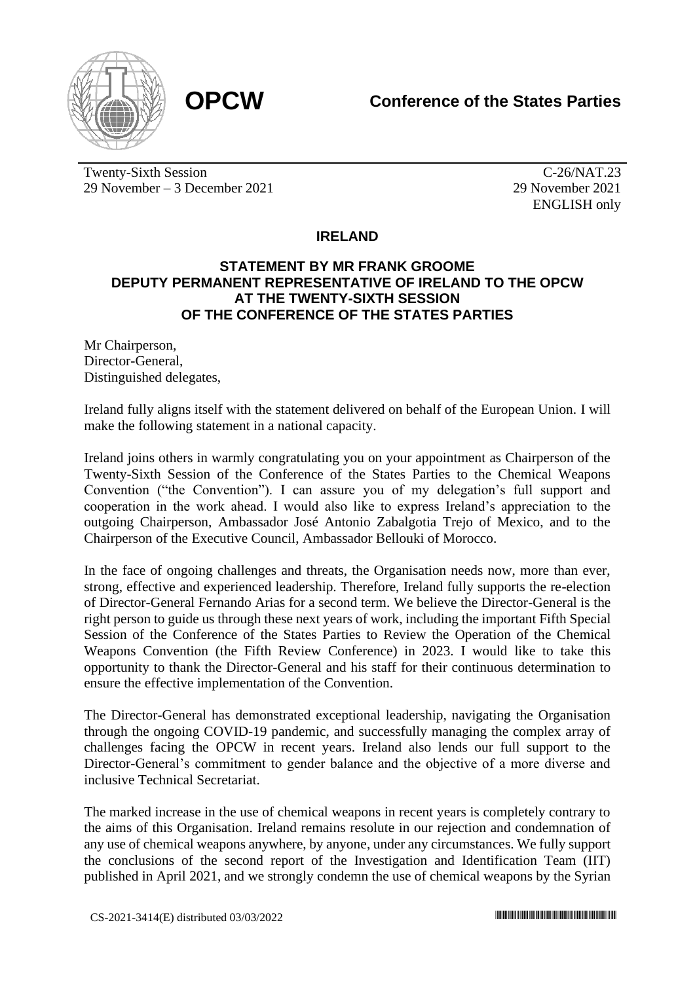

Twenty-Sixth Session 29 November – 3 December 2021

C-26/NAT.23 29 November 2021 ENGLISH only

## **IRELAND**

## **STATEMENT BY MR FRANK GROOME DEPUTY PERMANENT REPRESENTATIVE OF IRELAND TO THE OPCW AT THE TWENTY-SIXTH SESSION OF THE CONFERENCE OF THE STATES PARTIES**

Mr Chairperson, Director-General, Distinguished delegates,

Ireland fully aligns itself with the statement delivered on behalf of the European Union. I will make the following statement in a national capacity.

Ireland joins others in warmly congratulating you on your appointment as Chairperson of the Twenty-Sixth Session of the Conference of the States Parties to the Chemical Weapons Convention ("the Convention"). I can assure you of my delegation's full support and cooperation in the work ahead. I would also like to express Ireland's appreciation to the outgoing Chairperson, Ambassador José Antonio Zabalgotia Trejo of Mexico, and to the Chairperson of the Executive Council, Ambassador Bellouki of Morocco.

In the face of ongoing challenges and threats, the Organisation needs now, more than ever, strong, effective and experienced leadership. Therefore, Ireland fully supports the re-election of Director-General Fernando Arias for a second term. We believe the Director-General is the right person to guide us through these next years of work, including the important Fifth Special Session of the Conference of the States Parties to Review the Operation of the Chemical Weapons Convention (the Fifth Review Conference) in 2023. I would like to take this opportunity to thank the Director-General and his staff for their continuous determination to ensure the effective implementation of the Convention.

The Director-General has demonstrated exceptional leadership, navigating the Organisation through the ongoing COVID-19 pandemic, and successfully managing the complex array of challenges facing the OPCW in recent years. Ireland also lends our full support to the Director-General's commitment to gender balance and the objective of a more diverse and inclusive Technical Secretariat.

The marked increase in the use of chemical weapons in recent years is completely contrary to the aims of this Organisation. Ireland remains resolute in our rejection and condemnation of any use of chemical weapons anywhere, by anyone, under any circumstances. We fully support the conclusions of the second report of the Investigation and Identification Team (IIT) published in April 2021, and we strongly condemn the use of chemical weapons by the Syrian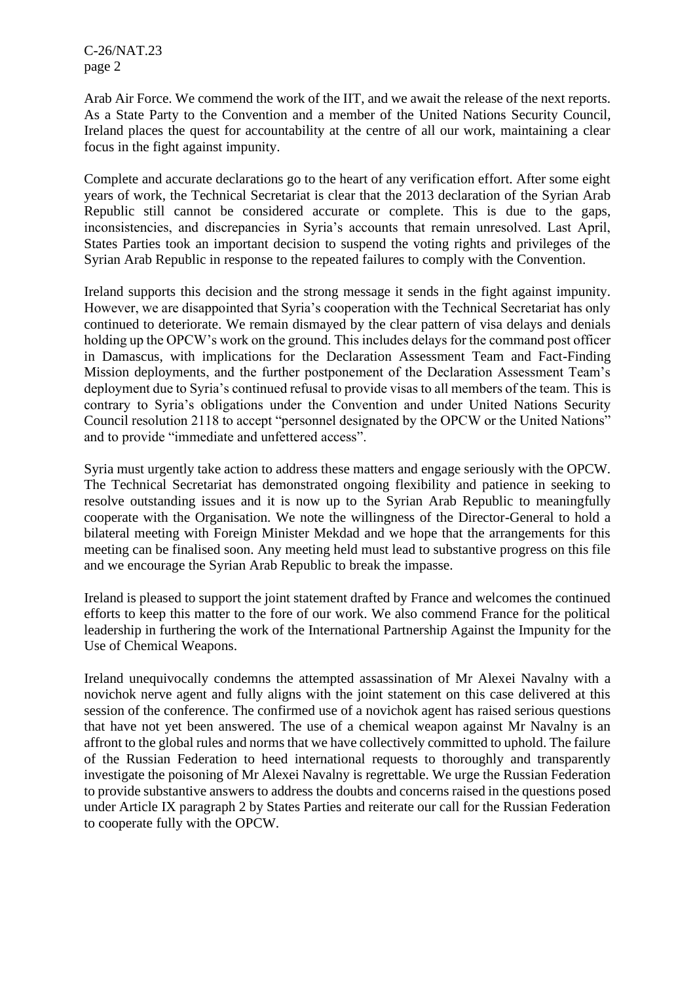C-26/NAT.23 page 2

Arab Air Force. We commend the work of the IIT, and we await the release of the next reports. As a State Party to the Convention and a member of the United Nations Security Council, Ireland places the quest for accountability at the centre of all our work, maintaining a clear focus in the fight against impunity.

Complete and accurate declarations go to the heart of any verification effort. After some eight years of work, the Technical Secretariat is clear that the 2013 declaration of the Syrian Arab Republic still cannot be considered accurate or complete. This is due to the gaps, inconsistencies, and discrepancies in Syria's accounts that remain unresolved. Last April, States Parties took an important decision to suspend the voting rights and privileges of the Syrian Arab Republic in response to the repeated failures to comply with the Convention.

Ireland supports this decision and the strong message it sends in the fight against impunity. However, we are disappointed that Syria's cooperation with the Technical Secretariat has only continued to deteriorate. We remain dismayed by the clear pattern of visa delays and denials holding up the OPCW's work on the ground. This includes delays for the command post officer in Damascus, with implications for the Declaration Assessment Team and Fact-Finding Mission deployments, and the further postponement of the Declaration Assessment Team's deployment due to Syria's continued refusal to provide visas to all members of the team. This is contrary to Syria's obligations under the Convention and under United Nations Security Council resolution 2118 to accept "personnel designated by the OPCW or the United Nations" and to provide "immediate and unfettered access".

Syria must urgently take action to address these matters and engage seriously with the OPCW. The Technical Secretariat has demonstrated ongoing flexibility and patience in seeking to resolve outstanding issues and it is now up to the Syrian Arab Republic to meaningfully cooperate with the Organisation. We note the willingness of the Director-General to hold a bilateral meeting with Foreign Minister Mekdad and we hope that the arrangements for this meeting can be finalised soon. Any meeting held must lead to substantive progress on this file and we encourage the Syrian Arab Republic to break the impasse.

Ireland is pleased to support the joint statement drafted by France and welcomes the continued efforts to keep this matter to the fore of our work. We also commend France for the political leadership in furthering the work of the International Partnership Against the Impunity for the Use of Chemical Weapons.

Ireland unequivocally condemns the attempted assassination of Mr Alexei Navalny with a novichok nerve agent and fully aligns with the joint statement on this case delivered at this session of the conference. The confirmed use of a novichok agent has raised serious questions that have not yet been answered. The use of a chemical weapon against Mr Navalny is an affront to the global rules and norms that we have collectively committed to uphold. The failure of the Russian Federation to heed international requests to thoroughly and transparently investigate the poisoning of Mr Alexei Navalny is regrettable. We urge the Russian Federation to provide substantive answers to address the doubts and concerns raised in the questions posed under Article IX paragraph 2 by States Parties and reiterate our call for the Russian Federation to cooperate fully with the OPCW.